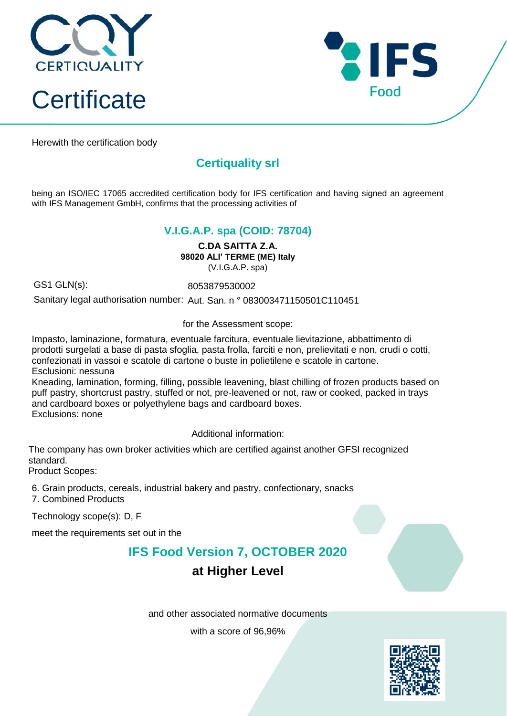



Herewith the certification body

## **Certiquality srl**

being an ISO/IEC 17065 accredited certification body for IFS certification and having signed an agreement with IFS Management GmbH, confirms that the processing activities of

#### **V.I.G.A.P. spa (COID: 78704)**

**C.DA SAITTA Z.A. 98020 ALI' TERME (ME) Italy** (V.I.G.A.P. spa)

GS1 GLN(s): 8053879530002

Sanitary legal authorisation number: Aut. San. n ° 083003471150501C110451

for the Assessment scope:

Impasto, laminazione, formatura, eventuale farcitura, eventuale lievitazione, abbattimento di prodotti surgelati a base di pasta sfoglia, pasta frolla, farciti e non, prelievitati e non, crudi o cotti, confezionati in vassoi e scatole di cartone o buste in polietilene e scatole in cartone. Esclusioni: nessuna

Kneading, lamination, forming, filling, possible leavening, blast chilling of frozen products based on puff pastry, shortcrust pastry, stuffed or not, pre-leavened or not, raw or cooked, packed in trays and cardboard boxes or polyethylene bags and cardboard boxes. Exclusions: none

Additional information:

The company has own broker activities which are certified against another GFSI recognized standard.

Product Scopes:

6. Grain products, cereals, industrial bakery and pastry, confectionary, snacks

7. Combined Products

Technology scope(s): D, F

meet the requirements set out in the

### **IFS Food Version 7, OCTOBER 2020**

### **at Higher Level**

and other associated normative documents

with a score of 96,96%